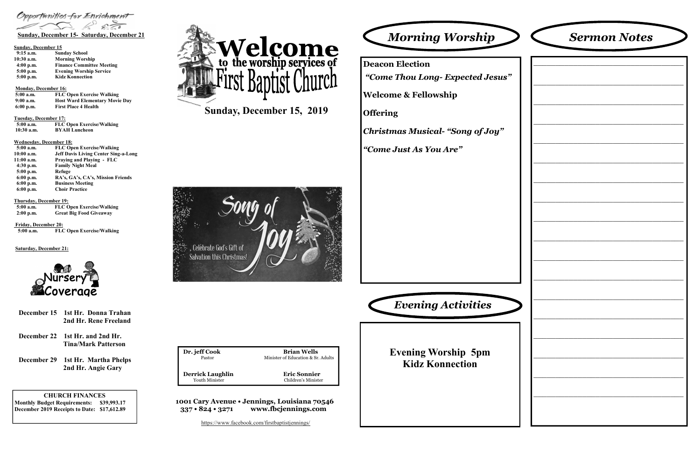CHURCH FINANCES Monthly Budget Requirements: \$39,993.17 December 2019 Receipts to Date: \$17,612.89

Dr. jeff Cook Brian Wells Minister of Education & Sr. Adults Pastor**Derrick Laughlin Eric Sonnier**<br>
Youth Minister **Existen** Children's Minister Youth Minister Children's Minister

1001 Cary Avenue • Jennings, Louisiana 70546 337 • 824 • 3271 www.fbcjennings.com

Sunday, December 15, 2019



Opportunities for Enrichment

## Sunday, December 15

| $9:15$ a.m.  | <b>Sunday School</b>             |
|--------------|----------------------------------|
| $10:30$ a.m. | <b>Morning Worship</b>           |
| $4:00$ p.m.  | <b>Finance Committee Meeting</b> |
| $5:00$ p.m.  | <b>Evening Worship Service</b>   |
| $5:00$ p.m.  | <b>Kidz Konnection</b>           |

## Monday, December 16:

| $5:00$ a.m. | <b>FLC Open Exercise Walking</b>      |
|-------------|---------------------------------------|
| $9:00$ a.m. | <b>Host Ward Elementary Movie Day</b> |
| $6:00$ p.m. | <b>First Place 4 Health</b>           |

### Tuesday, December 17:

| $5:00$ a.m.  | <b>FLC Open Exercise/Walking</b> |
|--------------|----------------------------------|
| $10:30$ a.m. | <b>BYAH Luncheon</b>             |

## Wednesday, December 18:

| $5:00$ a.m. | <b>FLC Open Exercise/Walking</b>            |
|-------------|---------------------------------------------|
| 10:00 a.m.  | <b>Jeff Davis Living Center Sing-a-Long</b> |
| 11:00 a.m.  | <b>Praying and Playing - FLC</b>            |
| $4:30$ p.m. | <b>Family Night Meal</b>                    |
| $5:00$ p.m. | Refuge                                      |
| $6:00$ p.m. | RA's, GA's, CA's, Mission Friends           |
| $6:00$ p.m. | <b>Business Meeting</b>                     |
| $6:00$ p.m. | <b>Choir Practice</b>                       |

## Thursday, December 19:

| $5:00$ a.m. | <b>FLC Open Exercise/Walking</b> |
|-------------|----------------------------------|
| $2:00$ p.m. | <b>Great Big Food Giveaway</b>   |

 Friday, December 20: FLC Open Exercise/Walking5:00 a.m.

## Saturday, December 21:



Deacon Election

"Come Thou Long- Expected Jesus"

Welcome & Fellowship

**Offering** 

Christmas Musical- "Song of Joy"

"Come Just As You Are"



| orship            | <b>Sermon Notes</b> |  |
|-------------------|---------------------|--|
| vected Jesus"     |                     |  |
| ong of Joy"<br>,, |                     |  |
|                   |                     |  |
|                   |                     |  |
| ivities           |                     |  |
| ip 5pm<br>ction   |                     |  |
|                   |                     |  |

Evening Worship 5pmKidz Konnection

- 2nd Hr. Rene Freeland
- December 22 1st Hr. and 2nd Hr.Tina/Mark Patterson
- December 29 1st Hr. Martha Phelps2nd Hr. Angie Gary

https://www.facebook.com/firstbaptistjennings/

# December 15 1st Hr. Donna Trahan Christian Christian Christian Christian Christian Christian Christian Christian Christian Christian Christian Christian Christian Christian Christian Christian Christian Christian Christian